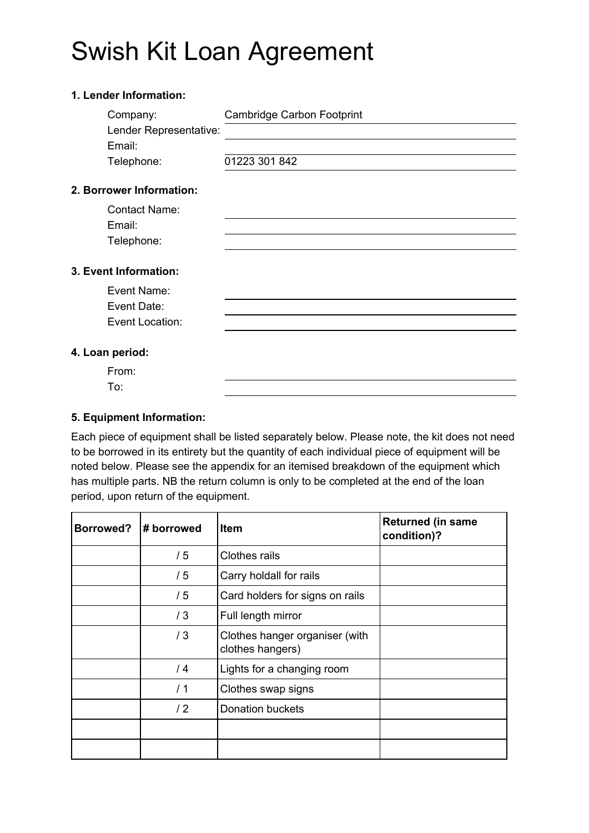# Swish Kit Loan Agreement

### **1. Lender Information:**

| Company:                 | <b>Cambridge Carbon Footprint</b> |
|--------------------------|-----------------------------------|
| Lender Representative:   |                                   |
| Email:                   |                                   |
| Telephone:               | 01223 301 842                     |
| 2. Borrower Information: |                                   |
| <b>Contact Name:</b>     |                                   |
| Email:                   |                                   |
| Telephone:               |                                   |
| 3. Event Information:    |                                   |
| Event Name:              |                                   |
| Event Date:              |                                   |
| Event Location:          |                                   |
| 4. Loan period:          |                                   |
|                          |                                   |
| From:                    |                                   |
| To:                      |                                   |

#### **5. Equipment Information:**

Each piece of equipment shall be listed separately below. Please note, the kit does not need to be borrowed in its entirety but the quantity of each individual piece of equipment will be noted below. Please see the appendix for an itemised breakdown of the equipment which has multiple parts. NB the return column is only to be completed at the end of the loan period, upon return of the equipment.

| <b>Borrowed?</b> | # borrowed | <b>Item</b>                                        | <b>Returned (in same</b><br>condition)? |  |
|------------------|------------|----------------------------------------------------|-----------------------------------------|--|
|                  | /5         | <b>Clothes rails</b>                               |                                         |  |
|                  | /5         | Carry holdall for rails                            |                                         |  |
|                  | /5         | Card holders for signs on rails                    |                                         |  |
|                  | /3         | Full length mirror                                 |                                         |  |
|                  | /3         | Clothes hanger organiser (with<br>clothes hangers) |                                         |  |
|                  | /4         | Lights for a changing room                         |                                         |  |
|                  | /1         | Clothes swap signs                                 |                                         |  |
|                  | /2         | <b>Donation buckets</b>                            |                                         |  |
|                  |            |                                                    |                                         |  |
|                  |            |                                                    |                                         |  |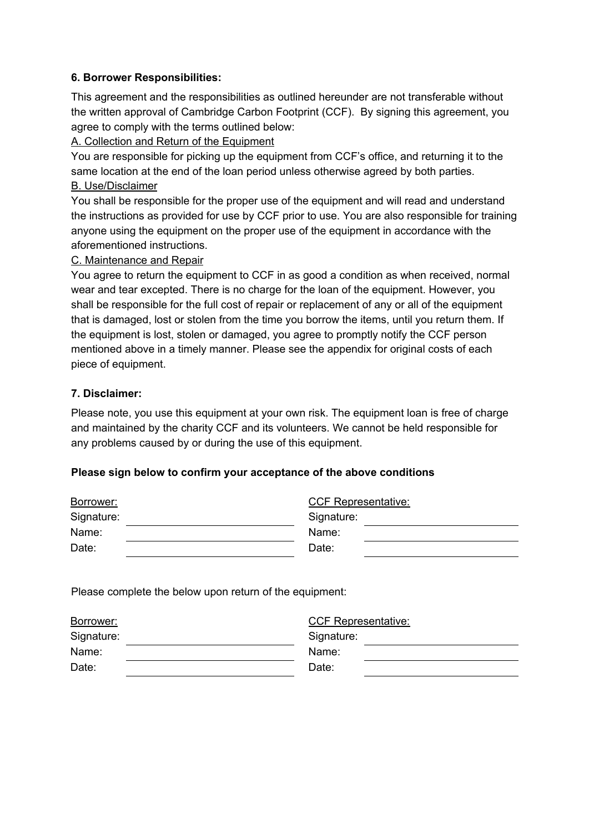#### **6. Borrower Responsibilities:**

This agreement and the responsibilities as outlined hereunder are not transferable without the written approval of Cambridge Carbon Footprint (CCF). By signing this agreement, you agree to comply with the terms outlined below:

#### A. Collection and Return of the Equipment

You are responsible for picking up the equipment from CCF's office, and returning it to the same location at the end of the loan period unless otherwise agreed by both parties. B. Use/Disclaimer

You shall be responsible for the proper use of the equipment and will read and understand the instructions as provided for use by CCF prior to use. You are also responsible for training anyone using the equipment on the proper use of the equipment in accordance with the aforementioned instructions.

#### C. Maintenance and Repair

You agree to return the equipment to CCF in as good a condition as when received, normal wear and tear excepted. There is no charge for the loan of the equipment. However, you shall be responsible for the full cost of repair or replacement of any or all of the equipment that is damaged, lost or stolen from the time you borrow the items, until you return them. If the equipment is lost, stolen or damaged, you agree to promptly notify the CCF person mentioned above in a timely manner. Please see the appendix for original costs of each piece of equipment.

#### **7. Disclaimer:**

Please note, you use this equipment at your own risk. The equipment loan is free of charge and maintained by the charity CCF and its volunteers. We cannot be held responsible for any problems caused by or during the use of this equipment.

#### **Please sign below to confirm your acceptance of the above conditions**

| Borrower:  | <b>CCF Representative:</b> |  |  |
|------------|----------------------------|--|--|
| Signature: | Signature:                 |  |  |
| Name:      | Name:                      |  |  |
| Date:      | Date:                      |  |  |

Please complete the below upon return of the equipment:

| Borrower:  | <b>CCF Representative:</b> |
|------------|----------------------------|
| Signature: | Signature:                 |
| Name:      | Name:                      |
| Date:      | Date:                      |